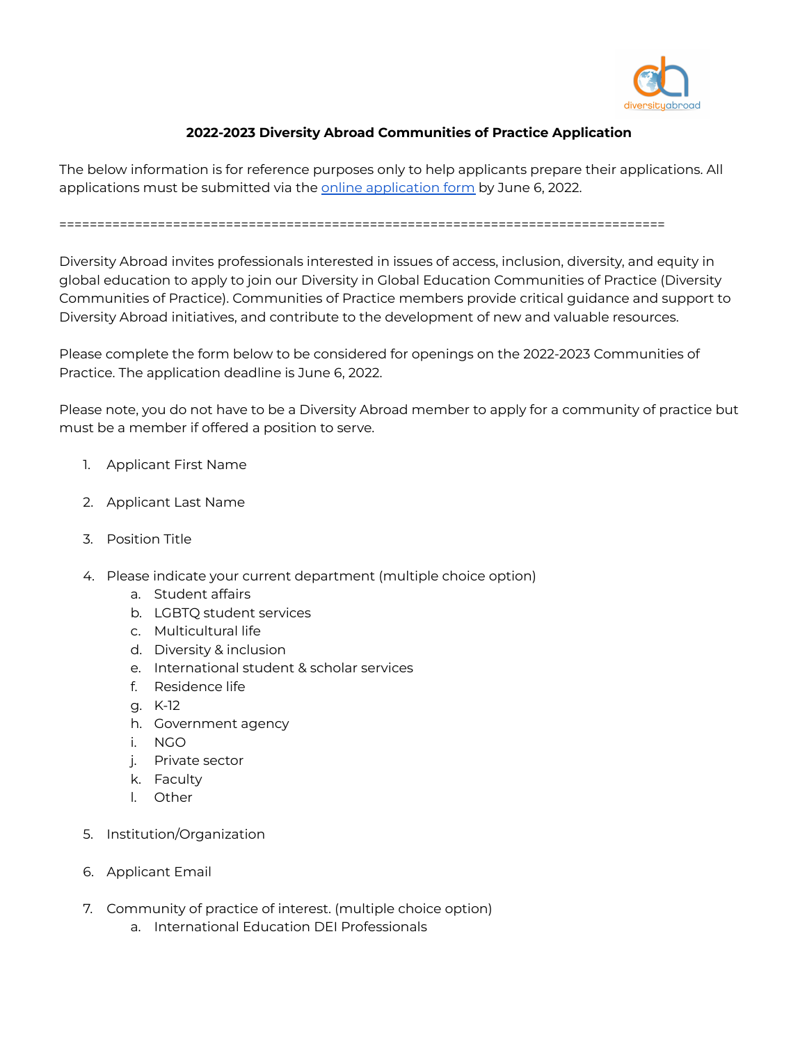

## **2022-2023 Diversity Abroad Communities of Practice Application**

The below information is for reference purposes only to help applicants prepare their applications. All [application](https://forms.gle/zcna96eMF1xMdYm68)s must be submitted via the online application form by June 6, 2022.

================================================================================

Diversity Abroad invites professionals interested in issues of access, inclusion, diversity, and equity in global education to apply to join our Diversity in Global Education Communities of Practice (Diversity Communities of Practice). Communities of Practice members provide critical guidance and support to Diversity Abroad initiatives, and contribute to the development of new and valuable resources.

Please complete the form below to be considered for openings on the 2022-2023 Communities of Practice. The application deadline is June 6, 2022.

Please note, you do not have to be a Diversity Abroad member to apply for a community of practice but must be a member if offered a position to serve.

- 1. Applicant First Name
- 2. Applicant Last Name
- 3. Position Title
- 4. Please indicate your current department (multiple choice option)
	- a. Student affairs
	- b. LGBTQ student services
	- c. Multicultural life
	- d. Diversity & inclusion
	- e. International student & scholar services
	- f. Residence life
	- g. K-12
	- h. Government agency
	- i. NGO
	- j. Private sector
	- k. Faculty
	- l. Other
- 5. Institution/Organization
- 6. Applicant Email
- 7. Community of practice of interest. (multiple choice option)
	- a. International Education DEI Professionals